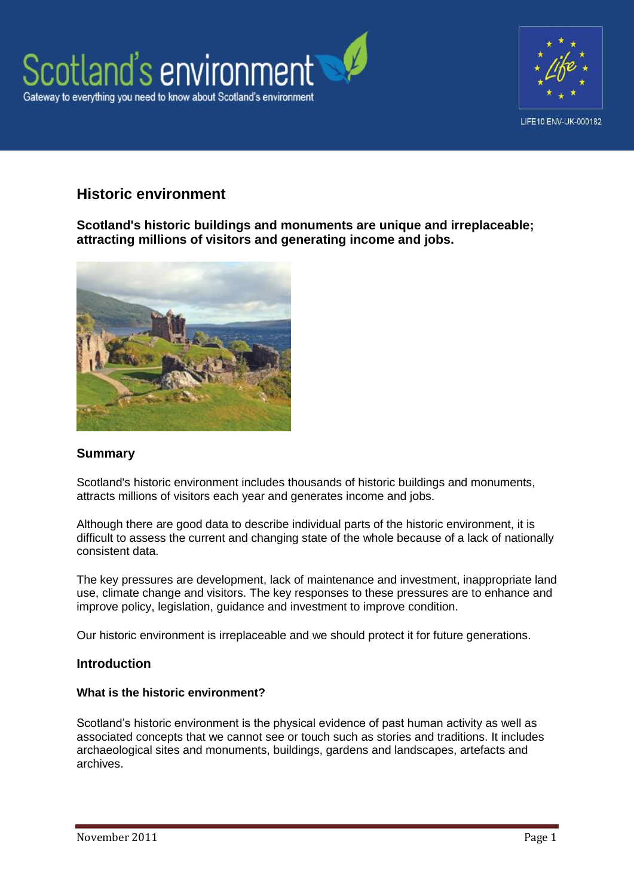



# **Historic environment**

**Scotland's historic buildings and monuments are unique and irreplaceable; attracting millions of visitors and generating income and jobs.**



### **Summary**

Scotland's historic environment includes thousands of historic buildings and monuments, attracts millions of visitors each year and generates income and jobs.

Although there are good data to describe individual parts of the historic environment, it is difficult to assess the current and changing state of the whole because of a lack of nationally consistent data.

The key pressures are development, lack of maintenance and investment, inappropriate land use, climate change and visitors. The key responses to these pressures are to enhance and improve policy, legislation, guidance and investment to improve condition.

Our historic environment is irreplaceable and we should protect it for future generations.

#### **Introduction**

#### **What is the historic environment?**

Scotland's historic environment is the physical evidence of past human activity as well as associated concepts that we cannot see or touch such as stories and traditions. It includes archaeological sites and monuments, buildings, gardens and landscapes, artefacts and archives.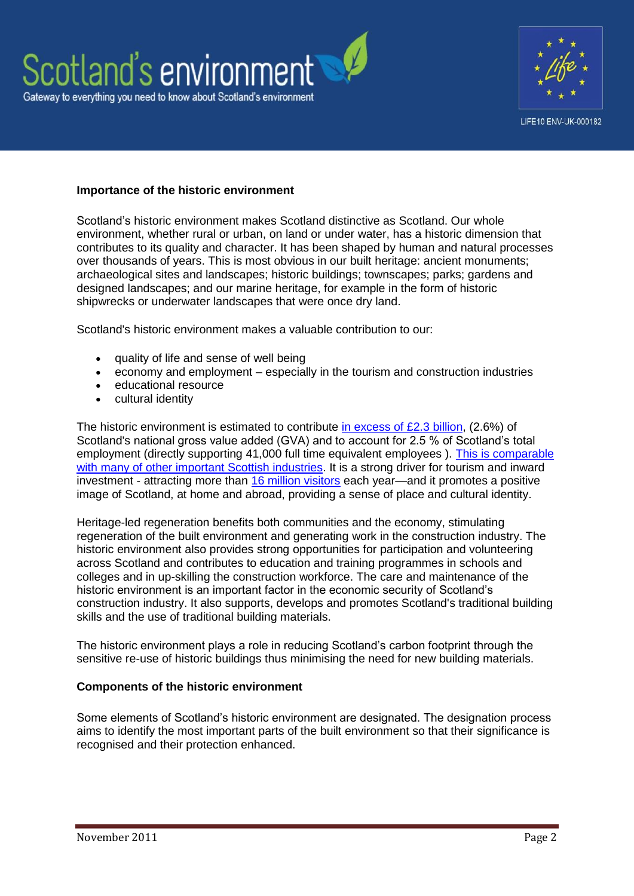



#### **Importance of the historic environment**

Scotland's historic environment makes Scotland distinctive as Scotland. Our whole environment, whether rural or urban, on land or under water, has a historic dimension that contributes to its quality and character. It has been shaped by human and natural processes over thousands of years. This is most obvious in our built heritage: ancient monuments; archaeological sites and landscapes; historic buildings; townscapes; parks; gardens and designed landscapes; and our marine heritage, for example in the form of historic shipwrecks or underwater landscapes that were once dry land.

Scotland's historic environment makes a valuable contribution to our:

- quality of life and sense of well being
- economy and employment especially in the tourism and construction industries
- educational resource
- cultural identity

The historic environment is estimated to contribute [in excess of £2.3 billion,](http://www.heacs.org.uk/documents/2009/ecotec.pdf) (2.6%) of Scotland's national gross value added (GVA) and to account for 2.5 % of Scotland's total employment (directly supporting 41,000 full time equivalent employees ). [This is comparable](http://www.heacs.org.uk/documents/2009/ecotec.pdf)  [with many of other important Scottish industries.](http://www.heacs.org.uk/documents/2009/ecotec.pdf) It is a strong driver for tourism and inward investment - attracting more than [16 million visitors](http://www.visitscotland.org/research_and_statistics.aspx) each year—and it promotes a positive image of Scotland, at home and abroad, providing a sense of place and cultural identity.

Heritage-led regeneration benefits both communities and the economy, stimulating regeneration of the built environment and generating work in the construction industry. The historic environment also provides strong opportunities for participation and volunteering across Scotland and contributes to education and training programmes in schools and colleges and in up-skilling the construction workforce. The care and maintenance of the historic environment is an important factor in the economic security of Scotland's construction industry. It also supports, develops and promotes Scotland's traditional building skills and the use of traditional building materials.

The historic environment plays a role in reducing Scotland's carbon footprint through the sensitive re-use of historic buildings thus minimising the need for new building materials.

#### **Components of the historic environment**

Some elements of Scotland's historic environment are designated. The designation process aims to identify the most important parts of the built environment so that their significance is recognised and their protection enhanced.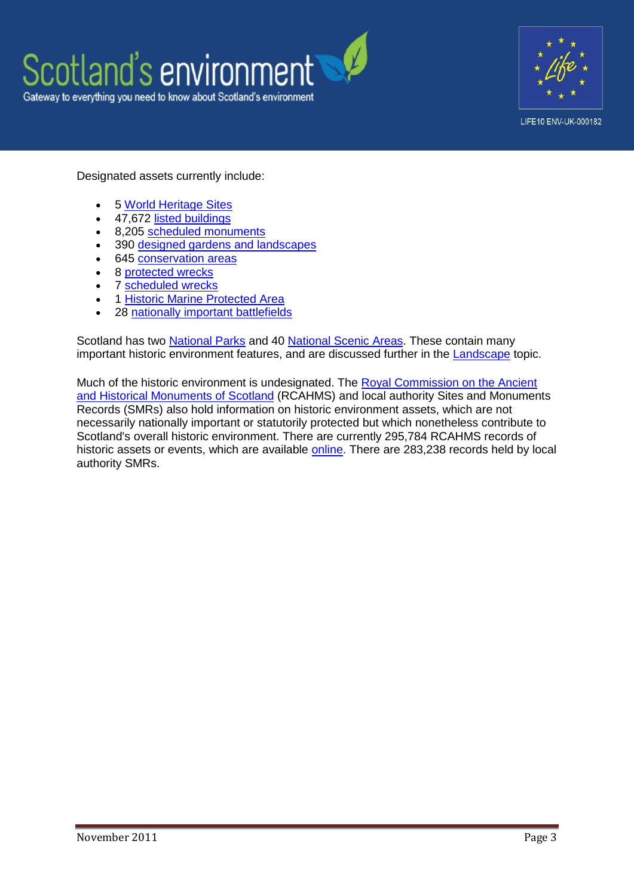



Designated assets currently include:

- 5 [World Heritage Sites](http://www.historic-scotland.gov.uk/index/heritage/worldheritage/world-heritage-sites-in-scotland.htm)
- 47,672 [listed buildings](http://www.historic-scotland.gov.uk/index/heritage/historicandlistedbuildings.htm)
- 8.205 [scheduled monuments](http://www.historic-scotland.gov.uk/index/heritage/searchmonuments.htm)
- 390 [designed gardens and landscapes](http://www.historic-scotland.gov.uk/index/heritage/gardens.htm)
- 645 [conservation areas](http://www.scotland.gov.uk/resource/Doc/37428/0009675.pdf)
- 8 [protected wrecks](http://www.historic-scotland.gov.uk/index/heritage/wrecksites.htm)
- 7 [scheduled wrecks](http://www.historic-scotland.gov.uk/index/heritage/wrecksites/scotlands-historic-wrecks.htm)
- 1 [Historic Marine Protected Area](http://www.historic-scotland.gov.uk/index/heritage/wrecksites/scotlands-historic-wrecks.htm)
- 28 [nationally important battlefields](http://www.historic-scotland.gov.uk/index/heritage/battlefields.htm)

Scotland has two [National Parks](http://www.nationalparks.gov.uk/) and 40 [National Scenic Areas.](http://www.scotland.gov.uk/resource/Doc/1051/0058088.pdf) These contain many important historic environment features, and are discussed further in the [Landscape](http://www.environment.scotland.gov.uk/our_environment/land/landscape.aspx) topic.

Much of the historic environment is undesignated. The [Royal Commission on the Ancient](http://www.rcahms.gov.uk/)  [and Historical Monuments of Scotland](http://www.rcahms.gov.uk/) (RCAHMS) and local authority Sites and Monuments Records (SMRs) also hold information on historic environment assets, which are not necessarily nationally important or statutorily protected but which nonetheless contribute to Scotland's overall historic environment. There are currently 295,784 RCAHMS records of historic assets or events, which are available [online.](http://www.rcahms.gov.uk/search.html) There are 283,238 records held by local authority SMRs.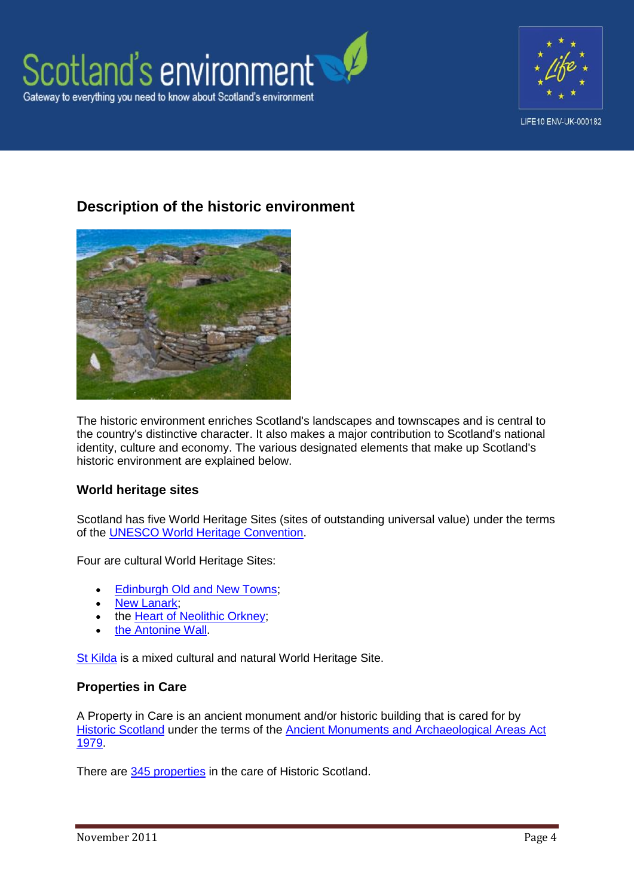



# **Description of the historic environment**



The historic environment enriches Scotland's landscapes and townscapes and is central to the country's distinctive character. It also makes a major contribution to Scotland's national identity, culture and economy. The various designated elements that make up Scotland's historic environment are explained below.

#### **World heritage sites**

Scotland has five World Heritage Sites (sites of outstanding universal value) under the terms of the [UNESCO World Heritage Convention.](http://whc.unesco.org/en/convention)

Four are cultural World Heritage Sites:

- **Edinburgh Old and New Towns:**
- New Lanark
- the [Heart of Neolithic Orkney;](http://www.historic-scotland.gov.uk/index/heritage/worldheritage/world-heritage-sites-in-scotland/neolithic-orkney.htm)
- [the Antonine Wall.](http://www.historic-scotland.gov.uk/index/heritage/worldheritage/world-heritage-sites-in-scotland/antoninewall.htm)

[St Kilda](http://www.historic-scotland.gov.uk/index/heritage/worldheritage/world-heritage-sites-in-scotland/st-kilda.htm) is a mixed cultural and natural World Heritage Site.

#### **Properties in Care**

A Property in Care is an ancient monument and/or historic building that is cared for by [Historic Scotland](http://www.historic-scotland.gov.uk/index/places/propertysearch/aboutourproperties.htm) under the terms of the [Ancient Monuments and Archaeological Areas Act](http://www.legislation.gov.uk/ukpga/1979/46)  [1979.](http://www.legislation.gov.uk/ukpga/1979/46)

There are [345 properties](http://www.historic-scotland.gov.uk/index/places/managedproperties.htm) in the care of Historic Scotland.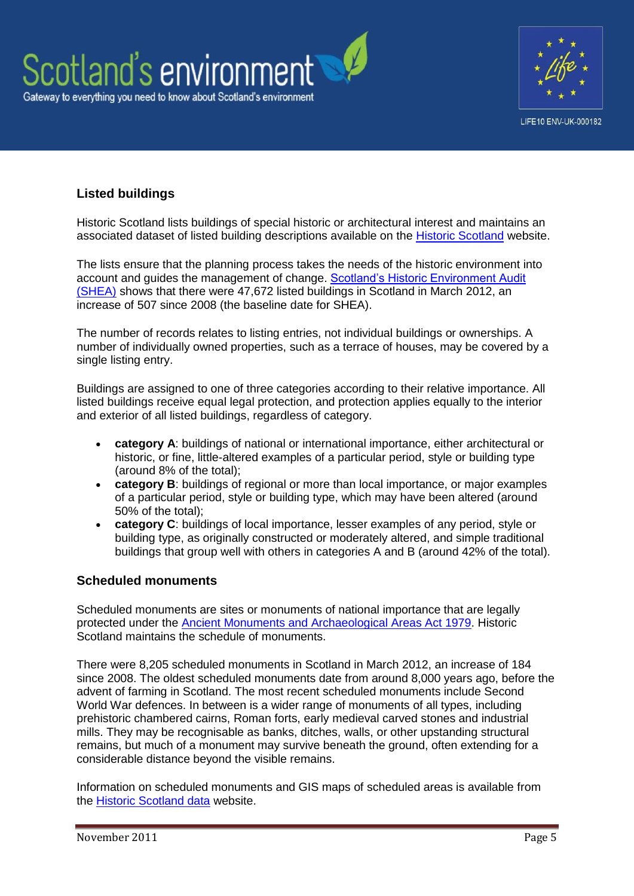



## **Listed buildings**

Historic Scotland lists buildings of special historic or architectural interest and maintains an associated dataset of listed building descriptions available on the [Historic Scotland](http://www.historic-scotland.gov.uk/index/heritage/historicandlistedbuildings.htm) website.

The lists ensure that the planning process takes the needs of the historic environment into account and guides the management of change. [Scotland's Historic Environment Audit](http://www.heritageaudit.org.uk/)  [\(SHEA\)](http://www.heritageaudit.org.uk/) shows that there were 47,672 listed buildings in Scotland in March 2012, an increase of 507 since 2008 (the baseline date for SHEA).

The number of records relates to listing entries, not individual buildings or ownerships. A number of individually owned properties, such as a terrace of houses, may be covered by a single listing entry.

Buildings are assigned to one of three categories according to their relative importance. All listed buildings receive equal legal protection, and protection applies equally to the interior and exterior of all listed buildings, regardless of category.

- **category A**: buildings of national or international importance, either architectural or historic, or fine, little-altered examples of a particular period, style or building type (around 8% of the total);
- **category B**: buildings of regional or more than local importance, or major examples of a particular period, style or building type, which may have been altered (around 50% of the total);
- **category C**: buildings of local importance, lesser examples of any period, style or building type, as originally constructed or moderately altered, and simple traditional buildings that group well with others in categories A and B (around 42% of the total).

#### **Scheduled monuments**

Scheduled monuments are sites or monuments of national importance that are legally protected under the [Ancient Monuments and Archaeological Areas Act 1979.](http://www.legislation.gov.uk/ukpga/1979/46) Historic Scotland maintains the schedule of monuments.

There were 8,205 scheduled monuments in Scotland in March 2012, an increase of 184 since 2008. The oldest scheduled monuments date from around 8,000 years ago, before the advent of farming in Scotland. The most recent scheduled monuments include Second World War defences. In between is a wider range of monuments of all types, including prehistoric chambered cairns, Roman forts, early medieval carved stones and industrial mills. They may be recognisable as banks, ditches, walls, or other upstanding structural remains, but much of a monument may survive beneath the ground, often extending for a considerable distance beyond the visible remains.

Information on scheduled monuments and GIS maps of scheduled areas is available from the [Historic Scotland data](http://data.historic-scotland.gov.uk/) website.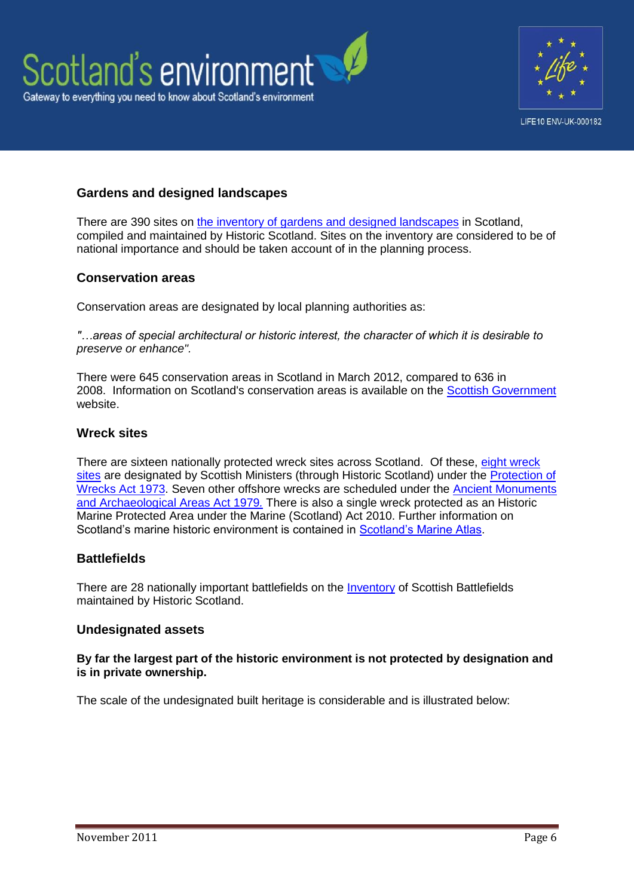



## **Gardens and designed landscapes**

There are 390 sites on [the inventory of gardens and designed landscapes](http://www.historic-scotland.gov.uk/index/heritage/gardens/gardens-inventory.htm) in Scotland, compiled and maintained by Historic Scotland. Sites on the inventory are considered to be of national importance and should be taken account of in the planning process.

#### **Conservation areas**

Conservation areas are designated by local planning authorities as:

*"…areas of special architectural or historic interest, the character of which it is desirable to preserve or enhance".*

There were 645 conservation areas in Scotland in March 2012, compared to 636 in 2008. Information on Scotland's conservation areas is available on the [Scottish Government](http://www.scotland.gov.uk/Publications/2005/03/29141519/15200) website.

#### **Wreck sites**

There are sixteen nationally protected wreck sites across Scotland. Of these, [eight wreck](http://www.historic-scotland.gov.uk/index/heritage/wrecksites.htm)  [sites](http://www.historic-scotland.gov.uk/index/heritage/wrecksites.htm) are designated by Scottish Ministers (through Historic Scotland) under the Protection of [Wrecks Act 1973.](http://www.legislation.gov.uk/ukpga/1973/33) Seven other offshore wrecks are scheduled under the [Ancient Monuments](http://www.legislation.gov.uk/ukpga/1979/46)  [and Archaeological Areas Act 1979](http://www.legislation.gov.uk/ukpga/1979/46)*.* There is also a single wreck protected as an Historic Marine Protected Area under the Marine (Scotland) Act 2010. Further information on Scotland's marine historic environment is contained in [Scotland's Marine Atlas.](http://www.scotland.gov.uk/Publications/2011/03/16182005/0)

#### **Battlefields**

There are 28 nationally important battlefields on the [Inventory](http://www.historic-scotland.gov.uk/index/heritage/battlefields/battlefieldinventory.htm) of Scottish Battlefields maintained by Historic Scotland.

#### **Undesignated assets**

**By far the largest part of the historic environment is not protected by designation and is in private ownership.**

The scale of the undesignated built heritage is considerable and is illustrated below: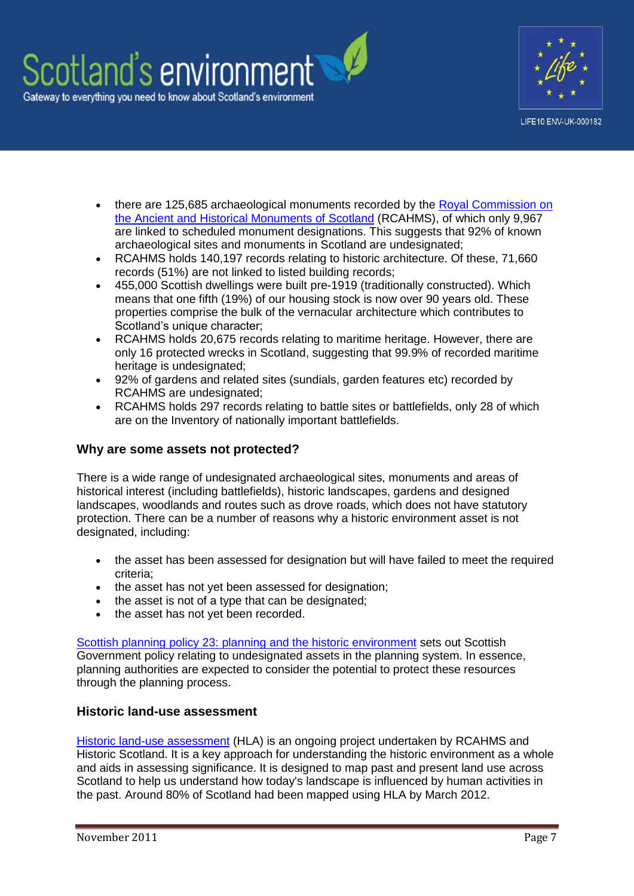



- there are 125,685 archaeological monuments recorded by the Royal Commission on [the Ancient and Historical Monuments of Scotland](http://www.rcahms.gov.uk/) (RCAHMS), of which only 9,967 are linked to scheduled monument designations. This suggests that 92% of known archaeological sites and monuments in Scotland are undesignated;
- RCAHMS holds 140,197 records relating to historic architecture. Of these, 71,660 records (51%) are not linked to listed building records;
- 455,000 Scottish dwellings were built pre-1919 (traditionally constructed). Which means that one fifth (19%) of our housing stock is now over 90 years old. These properties comprise the bulk of the vernacular architecture which contributes to Scotland's unique character:
- RCAHMS holds 20,675 records relating to maritime heritage. However, there are only 16 protected wrecks in Scotland, suggesting that 99.9% of recorded maritime heritage is undesignated;
- 92% of gardens and related sites (sundials, garden features etc) recorded by RCAHMS are undesignated;
- RCAHMS holds 297 records relating to battle sites or battlefields, only 28 of which are on the Inventory of nationally important battlefields.

#### **Why are some assets not protected?**

There is a wide range of undesignated archaeological sites, monuments and areas of historical interest (including battlefields), historic landscapes, gardens and designed landscapes, woodlands and routes such as drove roads, which does not have statutory protection. There can be a number of reasons why a historic environment asset is not designated, including:

- the asset has been assessed for designation but will have failed to meet the required criteria;
- the asset has not yet been assessed for designation;
- the asset is not of a type that can be designated;
- the asset has not yet been recorded.

[Scottish planning policy 23: planning and the historic environment](http://www.scotland.gov.uk/Resource/Doc/242900/0067569.pdf) sets out Scottish Government policy relating to undesignated assets in the planning system. In essence, planning authorities are expected to consider the potential to protect these resources through the planning process.

#### **Historic land-use assessment**

[Historic land-use assessment](http://hla.rcahms.gov.uk/) (HLA) is an ongoing project undertaken by RCAHMS and Historic Scotland. It is a key approach for understanding the historic environment as a whole and aids in assessing significance. It is designed to map past and present land use across Scotland to help us understand how today's landscape is influenced by human activities in the past. Around 80% of Scotland had been mapped using HLA by March 2012.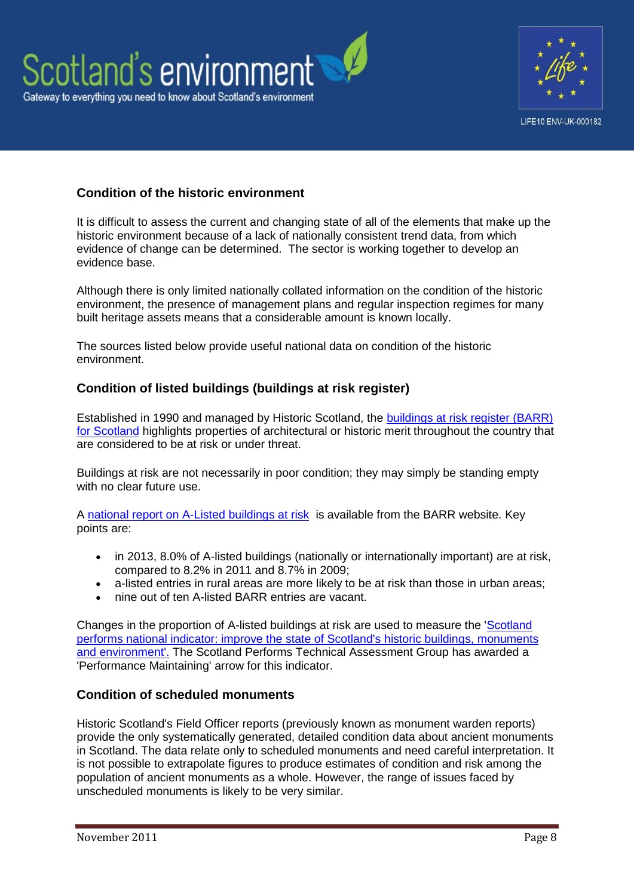



## **Condition of the historic environment**

It is difficult to assess the current and changing state of all of the elements that make up the historic environment because of a lack of nationally consistent trend data, from which evidence of change can be determined. The sector is working together to develop an evidence base.

Although there is only limited nationally collated information on the condition of the historic environment, the presence of management plans and regular inspection regimes for many built heritage assets means that a considerable amount is known locally.

The sources listed below provide useful national data on condition of the historic environment.

#### **Condition of listed buildings (buildings at risk register)**

Established in 1990 and managed by Historic Scotland, the [buildings at risk register \(BARR\)](http://www.buildingsatrisk.org.uk/)  [for Scotland](http://www.buildingsatrisk.org.uk/) highlights properties of architectural or historic merit throughout the country that are considered to be at risk or under threat.

Buildings at risk are not necessarily in poor condition; they may simply be standing empty with no clear future use.

A [national report on A-Listed buildings at risk](http://www.buildingsatrisk.org.uk/sites/default/files/publications/National%20Report%20BARR%202013%20-%20Final.pdf) is available from the BARR website. Key points are:

- in 2013, 8.0% of A-listed buildings (nationally or internationally important) are at risk, compared to 8.2% in 2011 and 8.7% in 2009;
- a-listed entries in rural areas are more likely to be at risk than those in urban areas;
- nine out of ten A-listed BARR entries are vacant.

Changes in the proportion of A-listed buildings at risk are used to measure the ['Scotland](http://www.scotland.gov.uk/About/Performance/scotPerforms/indicator/historic)  [performs national indicator: improve the state of Scotland's historic buildings, monuments](http://www.scotland.gov.uk/About/Performance/scotPerforms/indicator/historic)  [and environment'.](http://www.scotland.gov.uk/About/Performance/scotPerforms/indicator/historic) The Scotland Performs Technical Assessment Group has awarded a 'Performance Maintaining' arrow for this indicator.

#### **Condition of scheduled monuments**

Historic Scotland's Field Officer reports (previously known as monument warden reports) provide the only systematically generated, detailed condition data about ancient monuments in Scotland. The data relate only to scheduled monuments and need careful interpretation. It is not possible to extrapolate figures to produce estimates of condition and risk among the population of ancient monuments as a whole. However, the range of issues faced by unscheduled monuments is likely to be very similar.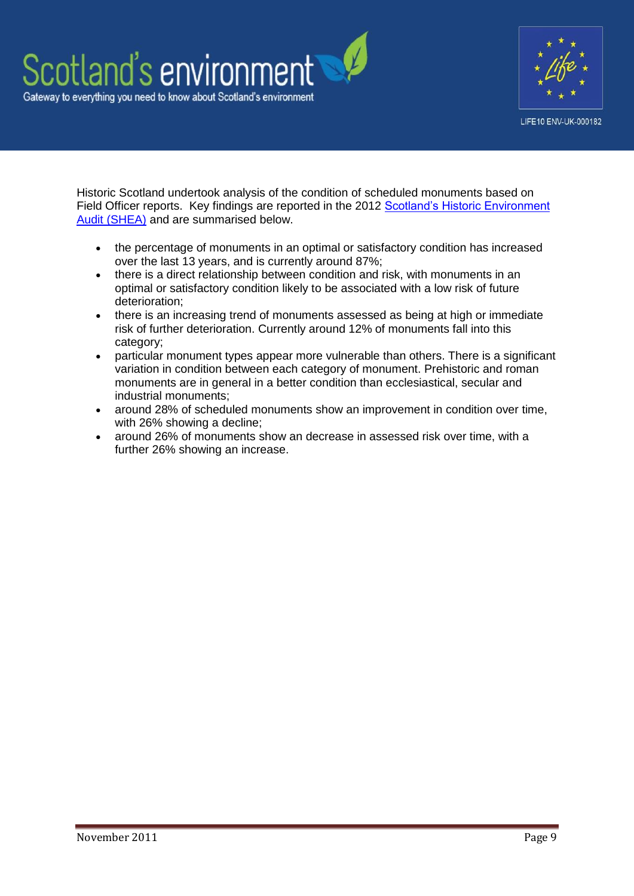



Historic Scotland undertook analysis of the condition of scheduled monuments based on Field Officer reports. Key findings are reported in the 2012 [Scotland's Historic Environment](http://www.heritageaudit.org.uk/)  [Audit \(SHEA\)](http://www.heritageaudit.org.uk/) and are summarised below.

- the percentage of monuments in an optimal or satisfactory condition has increased over the last 13 years, and is currently around 87%;
- there is a direct relationship between condition and risk, with monuments in an optimal or satisfactory condition likely to be associated with a low risk of future deterioration;
- there is an increasing trend of monuments assessed as being at high or immediate risk of further deterioration. Currently around 12% of monuments fall into this category;
- particular monument types appear more vulnerable than others. There is a significant variation in condition between each category of monument. Prehistoric and roman monuments are in general in a better condition than ecclesiastical, secular and industrial monuments;
- around 28% of scheduled monuments show an improvement in condition over time, with 26% showing a decline;
- around 26% of monuments show an decrease in assessed risk over time, with a further 26% showing an increase.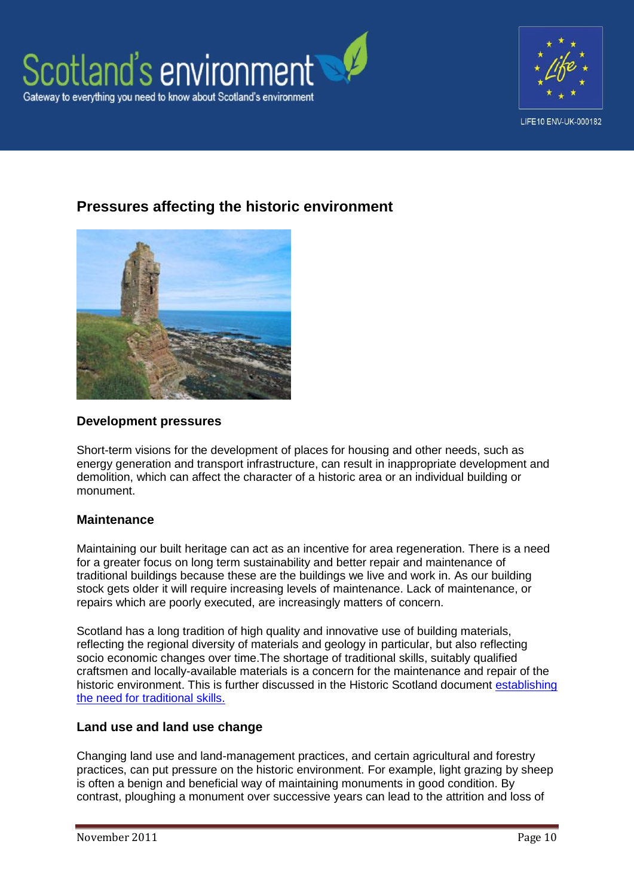



# **Pressures affecting the historic environment**



#### **Development pressures**

Short-term visions for the development of places for housing and other needs, such as energy generation and transport infrastructure, can result in inappropriate development and demolition, which can affect the character of a historic area or an individual building or monument.

#### **Maintenance**

Maintaining our built heritage can act as an incentive for area regeneration. There is a need for a greater focus on long term sustainability and better repair and maintenance of traditional buildings because these are the buildings we live and work in. As our building stock gets older it will require increasing levels of maintenance. Lack of maintenance, or repairs which are poorly executed, are increasingly matters of concern.

Scotland has a long tradition of high quality and innovative use of building materials, reflecting the regional diversity of materials and geology in particular, but also reflecting socio economic changes over time.The shortage of traditional skills, suitably qualified craftsmen and locally-available materials is a concern for the maintenance and repair of the historic environment. This is further discussed in the Historic Scotland document [establishing](http://conservation.historic-scotland.gov.uk/establishtraditionalskills.pdf)  [the need for traditional skills.](http://conservation.historic-scotland.gov.uk/establishtraditionalskills.pdf)

#### **Land use and land use change**

Changing land use and land-management practices, and certain agricultural and forestry practices, can put pressure on the historic environment. For example, light grazing by sheep is often a benign and beneficial way of maintaining monuments in good condition. By contrast, ploughing a monument over successive years can lead to the attrition and loss of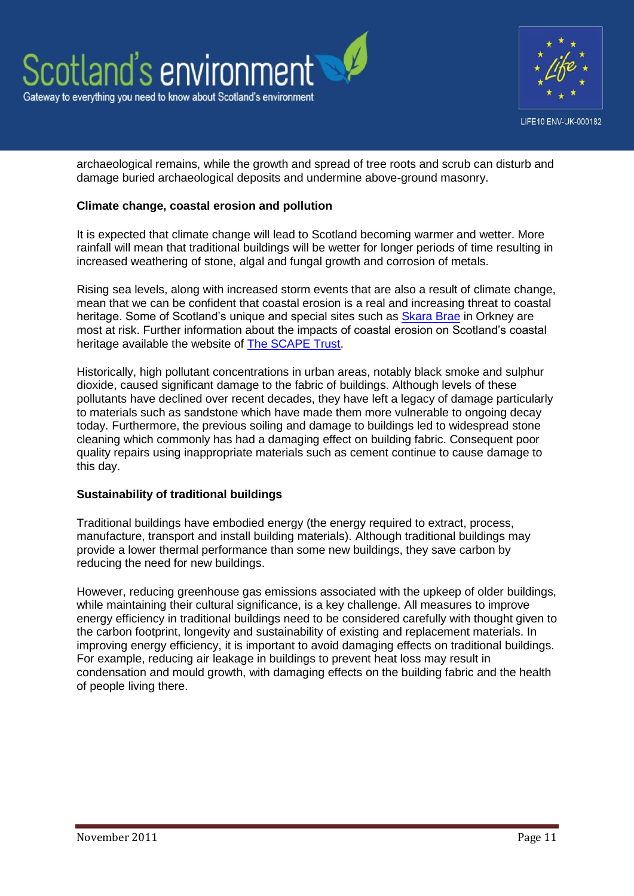



archaeological remains, while the growth and spread of tree roots and scrub can disturb and damage buried archaeological deposits and undermine above-ground masonry.

#### **Climate change, coastal erosion and pollution**

It is expected that climate change will lead to Scotland becoming warmer and wetter. More rainfall will mean that traditional buildings will be wetter for longer periods of time resulting in increased weathering of stone, algal and fungal growth and corrosion of metals.

Rising sea levels, along with increased storm events that are also a result of climate change, mean that we can be confident that coastal erosion is a real and increasing threat to coastal heritage. Some of Scotland's unique and special sites such as [Skara Brae](http://www.historic-scotland.gov.uk/propertyresults/propertyoverview.htm?PropID=PL_244&PropName=Skara%20Brae%20Prehistoric%20Village) in Orkney are most at risk. Further information about the impacts of coastal erosion on Scotland's coastal heritage available the website of [The SCAPE Trust.](http://www.scapetrust.org/)

Historically, high pollutant concentrations in urban areas, notably black smoke and sulphur dioxide, caused significant damage to the fabric of buildings. Although levels of these pollutants have declined over recent decades, they have left a legacy of damage particularly to materials such as sandstone which have made them more vulnerable to ongoing decay today. Furthermore, the previous soiling and damage to buildings led to widespread stone cleaning which commonly has had a damaging effect on building fabric. Consequent poor quality repairs using inappropriate materials such as cement continue to cause damage to this day.

#### **Sustainability of traditional buildings**

Traditional buildings have embodied energy (the energy required to extract, process, manufacture, transport and install building materials). Although traditional buildings may provide a lower thermal performance than some new buildings, they save carbon by reducing the need for new buildings.

However, reducing greenhouse gas emissions associated with the upkeep of older buildings, while maintaining their cultural significance, is a key challenge. All measures to improve energy efficiency in traditional buildings need to be considered carefully with thought given to the carbon footprint, longevity and sustainability of existing and replacement materials. In improving energy efficiency, it is important to avoid damaging effects on traditional buildings. For example, reducing air leakage in buildings to prevent heat loss may result in condensation and mould growth, with damaging effects on the building fabric and the health of people living there.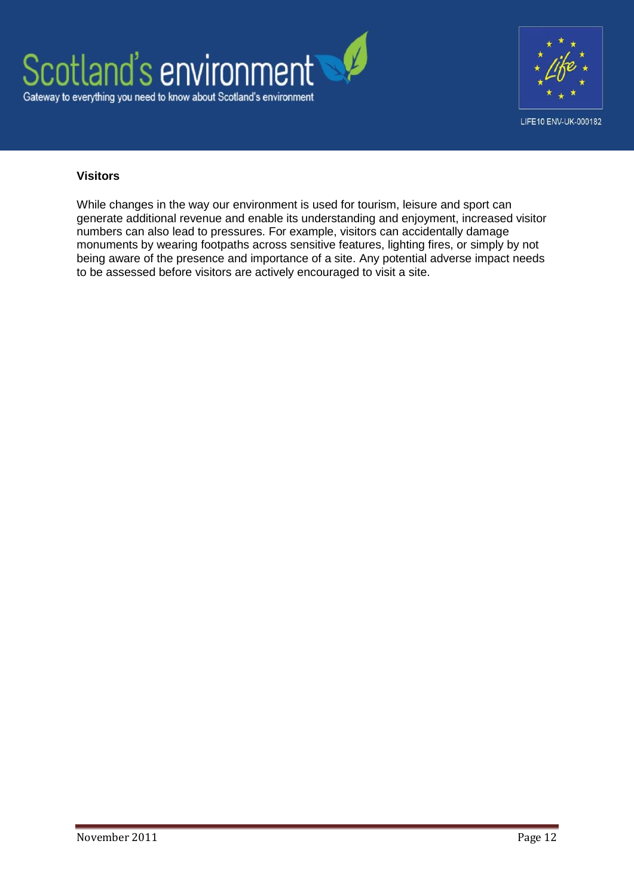



#### **Visitors**

While changes in the way our environment is used for tourism, leisure and sport can generate additional revenue and enable its understanding and enjoyment, increased visitor numbers can also lead to pressures. For example, visitors can accidentally damage monuments by wearing footpaths across sensitive features, lighting fires, or simply by not being aware of the presence and importance of a site. Any potential adverse impact needs to be assessed before visitors are actively encouraged to visit a site.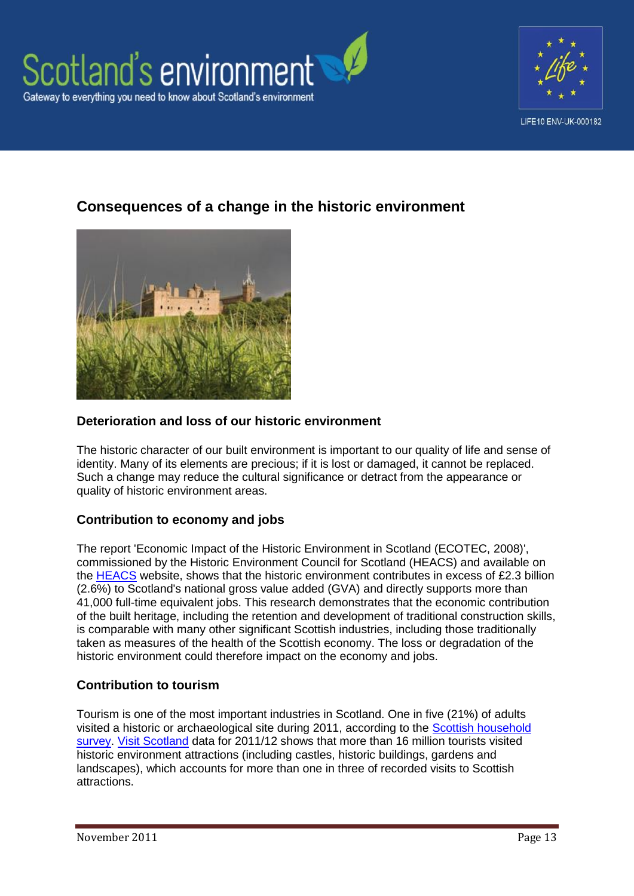



# **Consequences of a change in the historic environment**



## **Deterioration and loss of our historic environment**

The historic character of our built environment is important to our quality of life and sense of identity. Many of its elements are precious; if it is lost or damaged, it cannot be replaced. Such a change may reduce the cultural significance or detract from the appearance or quality of historic environment areas.

## **Contribution to economy and jobs**

The report 'Economic Impact of the Historic Environment in Scotland (ECOTEC, 2008)', commissioned by the Historic Environment Council for Scotland (HEACS) and available on the [HEACS](http://www.heacs.org.uk/) website, shows that the historic environment contributes in excess of £2.3 billion (2.6%) to Scotland's national gross value added (GVA) and directly supports more than 41,000 full-time equivalent jobs. This research demonstrates that the economic contribution of the built heritage, including the retention and development of traditional construction skills, is comparable with many other significant Scottish industries, including those traditionally taken as measures of the health of the Scottish economy. The loss or degradation of the historic environment could therefore impact on the economy and jobs.

#### **Contribution to tourism**

Tourism is one of the most important industries in Scotland. One in five (21%) of adults visited a historic or archaeological site during 2011, according to the [Scottish household](http://www.scotland.gov.uk/Topics/Statistics/16002/Publications)  [survey.](http://www.scotland.gov.uk/Topics/Statistics/16002/Publications) [Visit Scotland](http://www.visitscotland.org/research_and_statistics.aspx) data for 2011/12 shows that more than 16 million tourists visited historic environment attractions (including castles, historic buildings, gardens and landscapes), which accounts for more than one in three of recorded visits to Scottish attractions.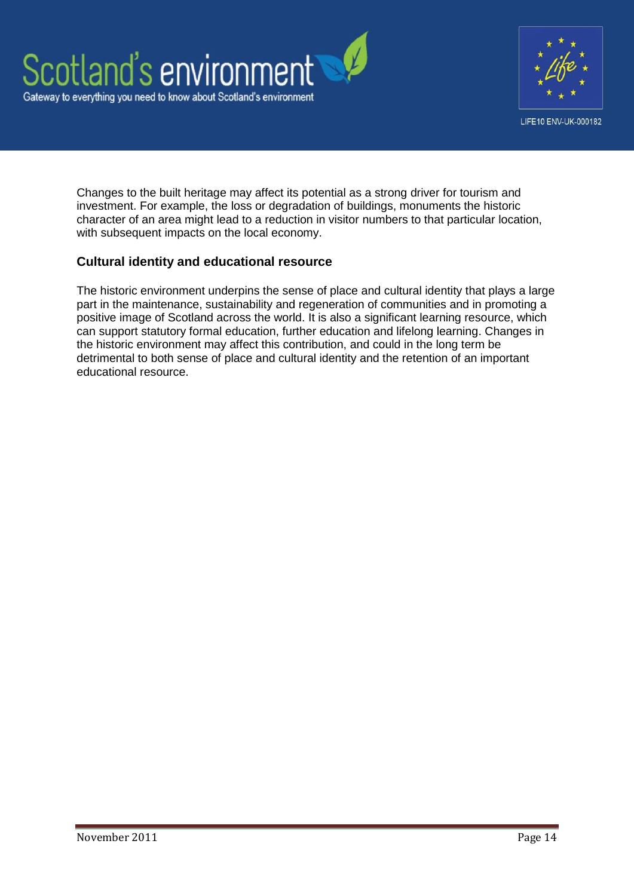



Changes to the built heritage may affect its potential as a strong driver for tourism and investment. For example, the loss or degradation of buildings, monuments the historic character of an area might lead to a reduction in visitor numbers to that particular location, with subsequent impacts on the local economy.

#### **Cultural identity and educational resource**

The historic environment underpins the sense of place and cultural identity that plays a large part in the maintenance, sustainability and regeneration of communities and in promoting a positive image of Scotland across the world. It is also a significant learning resource, which can support statutory formal education, further education and lifelong learning. Changes in the historic environment may affect this contribution, and could in the long term be detrimental to both sense of place and cultural identity and the retention of an important educational resource.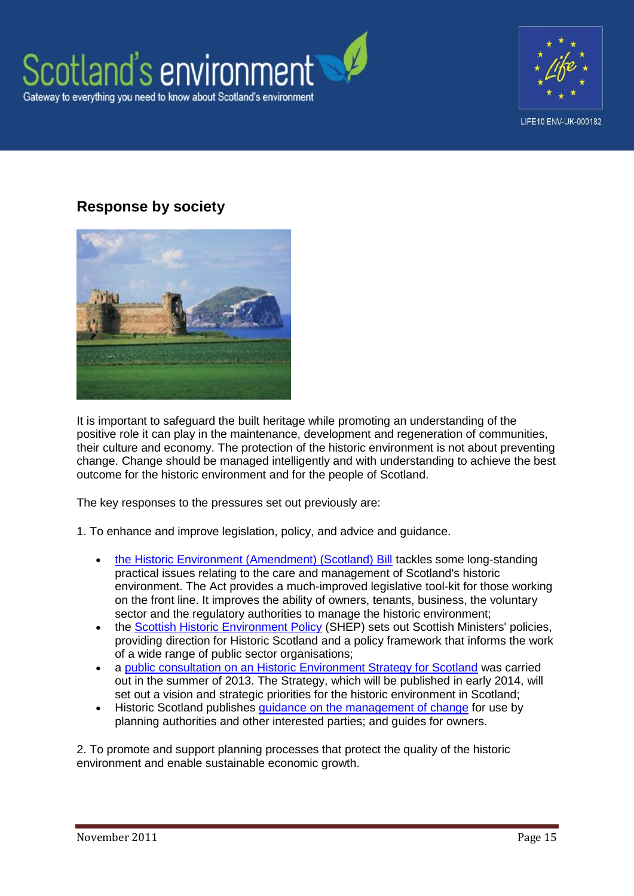



# **Response by society**



It is important to safeguard the built heritage while promoting an understanding of the positive role it can play in the maintenance, development and regeneration of communities, their culture and economy. The protection of the historic environment is not about preventing change. Change should be managed intelligently and with understanding to achieve the best outcome for the historic environment and for the people of Scotland.

The key responses to the pressures set out previously are:

1. To enhance and improve legislation, policy, and advice and guidance.

- [the Historic Environment \(Amendment\) \(Scotland\) Bill](http://www.historic-scotland.gov.uk/index/heritage/environmentbill/whatisthebill.htm) tackles some long-standing practical issues relating to the care and management of Scotland's historic environment. The Act provides a much-improved legislative tool-kit for those working on the front line. It improves the ability of owners, tenants, business, the voluntary sector and the regulatory authorities to manage the historic environment;
- the [Scottish Historic Environment Policy](http://www.historic-scotland.gov.uk/index/heritage/policy/shep.htm) (SHEP) sets out Scottish Ministers' policies, providing direction for Historic Scotland and a policy framework that informs the work of a wide range of public sector organisations;
- a [public consultation on an Historic Environment Strategy for Scotland](http://www.scotland.gov.uk/Publications/2013/05/1373) was carried out in the summer of 2013. The Strategy, which will be published in early 2014, will set out a vision and strategic priorities for the historic environment in Scotland;
- Historic Scotland publishes [guidance on the management of change](http://www.historic-scotland.gov.uk/index/heritage/policy/managingchange.htm) for use by planning authorities and other interested parties; and guides for owners.

2. To promote and support planning processes that protect the quality of the historic environment and enable sustainable economic growth.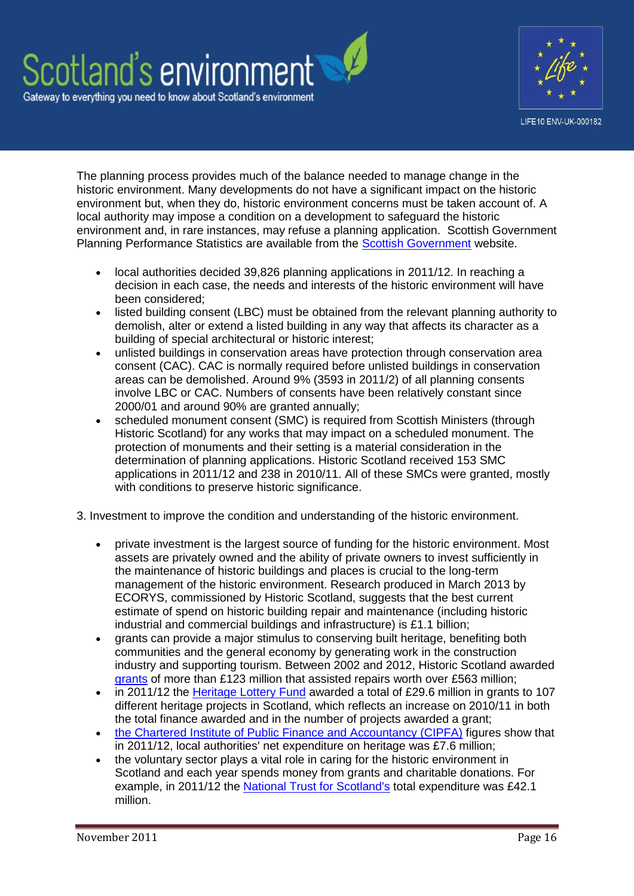# Scotland's environment Gateway to everything you need to know about Scotland's environment



The planning process provides much of the balance needed to manage change in the historic environment. Many developments do not have a significant impact on the historic environment but, when they do, historic environment concerns must be taken account of. A local authority may impose a condition on a development to safeguard the historic environment and, in rare instances, may refuse a planning application. Scottish Government Planning Performance Statistics are available from the [Scottish Government](http://www.scotland.gov.uk/Topics/Statistics/Browse/Planning/Publications) website.

- local authorities decided 39,826 planning applications in 2011/12. In reaching a decision in each case, the needs and interests of the historic environment will have been considered;
- listed building consent (LBC) must be obtained from the relevant planning authority to demolish, alter or extend a listed building in any way that affects its character as a building of special architectural or historic interest;
- unlisted buildings in conservation areas have protection through conservation area consent (CAC). CAC is normally required before unlisted buildings in conservation areas can be demolished. Around 9% (3593 in 2011/2) of all planning consents involve LBC or CAC. Numbers of consents have been relatively constant since 2000/01 and around 90% are granted annually;
- scheduled monument consent (SMC) is required from Scottish Ministers (through Historic Scotland) for any works that may impact on a scheduled monument. The protection of monuments and their setting is a material consideration in the determination of planning applications. Historic Scotland received 153 SMC applications in 2011/12 and 238 in 2010/11. All of these SMCs were granted, mostly with conditions to preserve historic significance.
- 3. Investment to improve the condition and understanding of the historic environment.
	- private investment is the largest source of funding for the historic environment. Most assets are privately owned and the ability of private owners to invest sufficiently in the maintenance of historic buildings and places is crucial to the long-term management of the historic environment. Research produced in March 2013 by ECORYS, commissioned by Historic Scotland, suggests that the best current estimate of spend on historic building repair and maintenance (including historic industrial and commercial buildings and infrastructure) is £1.1 billion;
	- grants can provide a major stimulus to conserving built heritage, benefiting both communities and the general economy by generating work in the construction industry and supporting tourism. Between 2002 and 2012, Historic Scotland awarded [grants](http://www.historic-scotland.gov.uk/grants) of more than £123 million that assisted repairs worth over £563 million;
	- in 2011/12 the [Heritage Lottery Fund](http://www.hlf.org.uk/Pages/Home.aspx) awarded a total of £29.6 million in grants to 107 different heritage projects in Scotland, which reflects an increase on 2010/11 in both the total finance awarded and in the number of projects awarded a grant;
	- [the Chartered Institute of Public Finance and Accountancy \(CIPFA\)](http://www.cipfa.org/) figures show that in 2011/12, local authorities' net expenditure on heritage was £7.6 million;
	- the voluntary sector plays a vital role in caring for the historic environment in Scotland and each year spends money from grants and charitable donations. For example, in 2011/12 the [National Trust for Scotland's](http://www.nts.org.uk/Home/) total expenditure was £42.1 million.